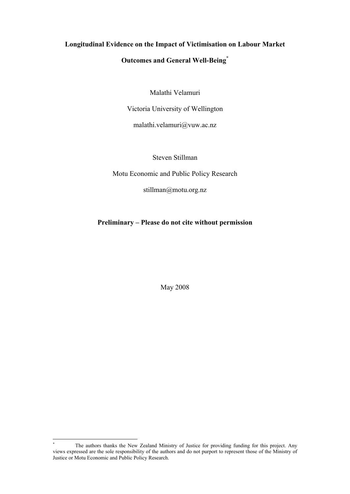# **Longitudinal Evidence on the Impact of Victimisation on Labour Market Outcomes and General Well-Being\***

Malathi Velamuri

Victoria University of Wellington

malathi.velamuri@vuw.ac.nz

Steven Stillman

Motu Economic and Public Policy Research

stillman@motu.org.nz

**Preliminary – Please do not cite without permission**

May 2008

The authors thanks the New Zealand Ministry of Justice for providing funding for this project. Any views expressed are the sole responsibility of the authors and do not purport to represent those of the Ministry of Justice or Motu Economic and Public Policy Research.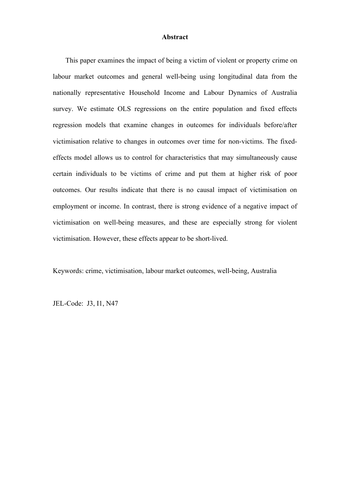#### **Abstract**

This paper examines the impact of being a victim of violent or property crime on labour market outcomes and general well-being using longitudinal data from the nationally representative Household Income and Labour Dynamics of Australia survey. We estimate OLS regressions on the entire population and fixed effects regression models that examine changes in outcomes for individuals before/after victimisation relative to changes in outcomes over time for non-victims. The fixedeffects model allows us to control for characteristics that may simultaneously cause certain individuals to be victims of crime and put them at higher risk of poor outcomes. Our results indicate that there is no causal impact of victimisation on employment or income. In contrast, there is strong evidence of a negative impact of victimisation on well-being measures, and these are especially strong for violent victimisation. However, these effects appear to be short-lived.

Keywords: crime, victimisation, labour market outcomes, well-being, Australia

JEL-Code: J3, I1, N47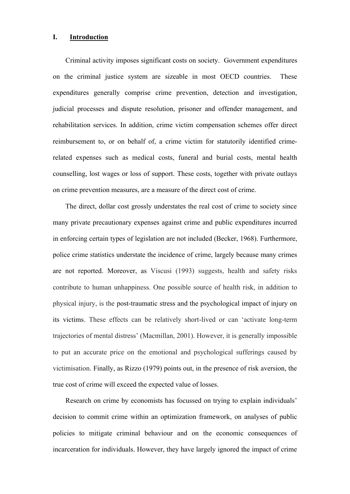### **I. Introduction**

Criminal activity imposes significant costs on society. Government expenditures on the criminal justice system are sizeable in most OECD countries. These expenditures generally comprise crime prevention, detection and investigation, judicial processes and dispute resolution, prisoner and offender management, and rehabilitation services. In addition, crime victim compensation schemes offer direct reimbursement to, or on behalf of, a crime victim for statutorily identified crimerelated expenses such as medical costs, funeral and burial costs, mental health counselling, lost wages or loss of support. These costs, together with private outlays on crime prevention measures, are a measure of the direct cost of crime.

The direct, dollar cost grossly understates the real cost of crime to society since many private precautionary expenses against crime and public expenditures incurred in enforcing certain types of legislation are not included (Becker, 1968). Furthermore, police crime statistics understate the incidence of crime, largely because many crimes are not reported. Moreover, as Viscusi (1993) suggests, health and safety risks contribute to human unhappiness. One possible source of health risk, in addition to physical injury, is the post-traumatic stress and the psychological impact of injury on its victims. These effects can be relatively short-lived or can 'activate long-term trajectories of mental distress' (Macmillan, 2001). However, it is generally impossible to put an accurate price on the emotional and psychological sufferings caused by victimisation. Finally, as Rizzo (1979) points out, in the presence of risk aversion, the true cost of crime will exceed the expected value of losses.

Research on crime by economists has focussed on trying to explain individuals' decision to commit crime within an optimization framework, on analyses of public policies to mitigate criminal behaviour and on the economic consequences of incarceration for individuals. However, they have largely ignored the impact of crime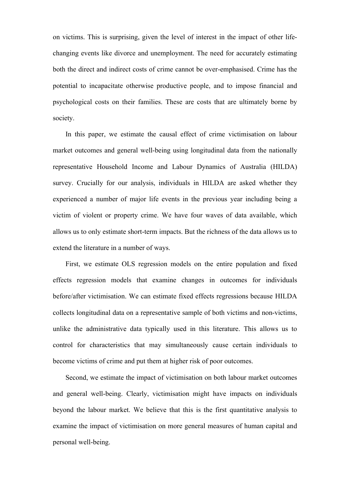on victims. This is surprising, given the level of interest in the impact of other lifechanging events like divorce and unemployment. The need for accurately estimating both the direct and indirect costs of crime cannot be over-emphasised. Crime has the potential to incapacitate otherwise productive people, and to impose financial and psychological costs on their families. These are costs that are ultimately borne by society.

In this paper, we estimate the causal effect of crime victimisation on labour market outcomes and general well-being using longitudinal data from the nationally representative Household Income and Labour Dynamics of Australia (HILDA) survey. Crucially for our analysis, individuals in HILDA are asked whether they experienced a number of major life events in the previous year including being a victim of violent or property crime. We have four waves of data available, which allows us to only estimate short-term impacts. But the richness of the data allows us to extend the literature in a number of ways.

First, we estimate OLS regression models on the entire population and fixed effects regression models that examine changes in outcomes for individuals before/after victimisation. We can estimate fixed effects regressions because HILDA collects longitudinal data on a representative sample of both victims and non-victims, unlike the administrative data typically used in this literature. This allows us to control for characteristics that may simultaneously cause certain individuals to become victims of crime and put them at higher risk of poor outcomes.

Second, we estimate the impact of victimisation on both labour market outcomes and general well-being. Clearly, victimisation might have impacts on individuals beyond the labour market. We believe that this is the first quantitative analysis to examine the impact of victimisation on more general measures of human capital and personal well-being.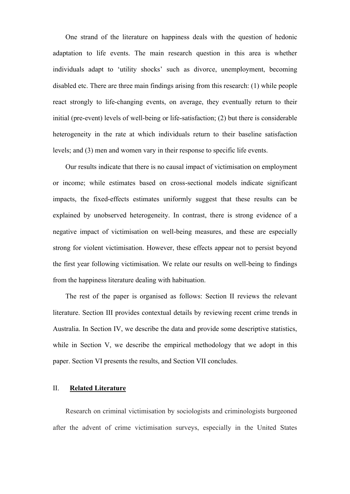One strand of the literature on happiness deals with the question of hedonic adaptation to life events. The main research question in this area is whether individuals adapt to 'utility shocks' such as divorce, unemployment, becoming disabled etc. There are three main findings arising from this research: (1) while people react strongly to life-changing events, on average, they eventually return to their initial (pre-event) levels of well-being or life-satisfaction; (2) but there is considerable heterogeneity in the rate at which individuals return to their baseline satisfaction levels; and (3) men and women vary in their response to specific life events.

Our results indicate that there is no causal impact of victimisation on employment or income; while estimates based on cross-sectional models indicate significant impacts, the fixed-effects estimates uniformly suggest that these results can be explained by unobserved heterogeneity. In contrast, there is strong evidence of a negative impact of victimisation on well-being measures, and these are especially strong for violent victimisation. However, these effects appear not to persist beyond the first year following victimisation. We relate our results on well-being to findings from the happiness literature dealing with habituation.

The rest of the paper is organised as follows: Section II reviews the relevant literature. Section III provides contextual details by reviewing recent crime trends in Australia. In Section IV, we describe the data and provide some descriptive statistics, while in Section V, we describe the empirical methodology that we adopt in this paper. Section VI presents the results, and Section VII concludes.

#### II. **Related Literature**

Research on criminal victimisation by sociologists and criminologists burgeoned after the advent of crime victimisation surveys, especially in the United States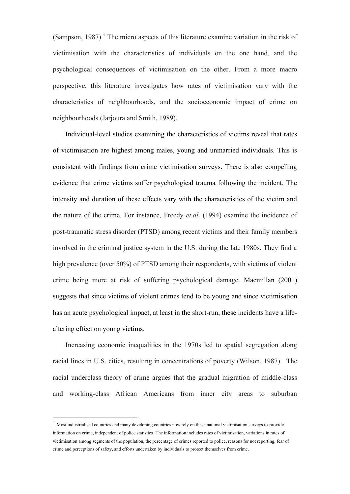$(Sampson, 1987)$ .<sup>1</sup> The micro aspects of this literature examine variation in the risk of victimisation with the characteristics of individuals on the one hand, and the psychological consequences of victimisation on the other. From a more macro perspective, this literature investigates how rates of victimisation vary with the characteristics of neighbourhoods, and the socioeconomic impact of crime on neighbourhoods (Jarjoura and Smith, 1989).

Individual-level studies examining the characteristics of victims reveal that rates of victimisation are highest among males, young and unmarried individuals. This is consistent with findings from crime victimisation surveys. There is also compelling evidence that crime victims suffer psychological trauma following the incident. The intensity and duration of these effects vary with the characteristics of the victim and the nature of the crime. For instance, Freedy *et.al.* (1994) examine the incidence of post-traumatic stress disorder (PTSD) among recent victims and their family members involved in the criminal justice system in the U.S. during the late 1980s. They find a high prevalence (over 50%) of PTSD among their respondents, with victims of violent crime being more at risk of suffering psychological damage. Macmillan (2001) suggests that since victims of violent crimes tend to be young and since victimisation has an acute psychological impact, at least in the short-run, these incidents have a lifealtering effect on young victims.

Increasing economic inequalities in the 1970s led to spatial segregation along racial lines in U.S. cities, resulting in concentrations of poverty (Wilson, 1987). The racial underclass theory of crime argues that the gradual migration of middle-class and working-class African Americans from inner city areas to suburban

<sup>&</sup>lt;sup>1</sup> Most industrialised countries and many developing countries now rely on these national victimisation surveys to provide information on crime, independent of police statistics. The information includes rates of victimisation, variations in rates of victimisation among segments of the population, the percentage of crimes reported to police, reasons for not reporting, fear of crime and perceptions of safety, and efforts undertaken by individuals to protect themselves from crime.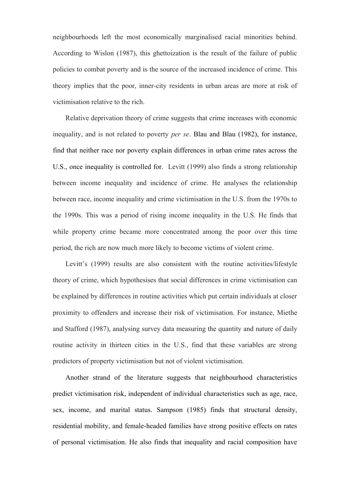neighbourhoods left the most economically marginalised racial minorities behind. According to Wislon (1987), this ghettoization is the result of the failure of public policies to combat poverty and is the source of the increased incidence of crime. This theory implies that the poor, inner-city residents in urban areas are more at risk of victimisation relative to the rich.

Relative deprivation theory of crime suggests that crime increases with economic inequality, and is not related to poverty *per se*. Blau and Blau (1982), for instance, find that neither race nor poverty explain differences in urban crime rates across the U.S., once inequality is controlled for. Levitt (1999) also finds a strong relationship between income inequality and incidence of crime. He analyses the relationship between race, income inequality and crime victimisation in the U.S. from the 1970s to the 1990s. This was a period of rising income inequality in the U.S. He finds that while property crime became more concentrated among the poor over this time period, the rich are now much more likely to become victims of violent crime.

Levitt's (1999) results are also consistent with the routine activities/lifestyle theory of crime, which hypothesises that social differences in crime victimisation can be explained by differences in routine activities which put certain individuals at closer proximity to offenders and increase their risk of victimisation. For instance, Miethe and Stafford (1987), analysing survey data measuring the quantity and nature of daily routine activity in thirteen cities in the U.S., find that these variables are strong predictors of property victimisation but not of violent victimisation.

Another strand of the literature suggests that neighbourhood characteristics predict victimisation risk, independent of individual characteristics such as age, race, sex, income, and marital status. Sampson (1985) finds that structural density, residential mobility, and female-headed families have strong positive effects on rates of personal victimisation. He also finds that inequality and racial composition have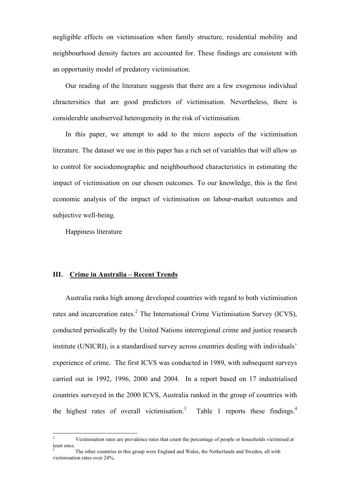negligible effects on victimisation when family structure, residential mobility and neighbourhood density factors are accounted for. These findings are consistent with an opportunity model of predatory victimisation.

Our reading of the literature suggests that there are a few exogenous individual chractersitics that are good predictors of victimisation. Nevertheless, there is considerable unobserved heterogeneity in the risk of victimisation.

In this paper, we attempt to add to the micro aspects of the victimisation literature. The dataset we use in this paper has a rich set of variables that will allow us to control for sociodemographic and neighbourhood characteristics in estimating the impact of victimisation on our chosen outcomes. To our knowledge, this is the first economic analysis of the impact of victimisation on labour-market outcomes and subjective well-being.

Happiness literature

#### **III. Crime in Australia – Recent Trends**

Australia ranks high among developed countries with regard to both victimisation rates and incarceration rates. ${}^{2}$  The International Crime Victimisation Survey (ICVS), conducted periodically by the United Nations interregional crime and justice research institute (UNICRI), is a standardised survey across countries dealing with individuals' experience of crime. The first ICVS was conducted in 1989, with subsequent surveys carried out in 1992, 1996, 2000 and 2004. In a report based on 17 industrialised countries surveyed in the 2000 ICVS, Australia ranked in the group of countries with the highest rates of overall victimisation.<sup>3</sup> Table 1 reports these findings.<sup>4</sup>

 $\overline{2}$ <sup>2</sup> Victimisation rates are prevalence rates that count the percentage of people or households victimised at least once.

The other countries in this group were England and Wales, the Netherlands and Sweden, all with victimisation rates over 24%.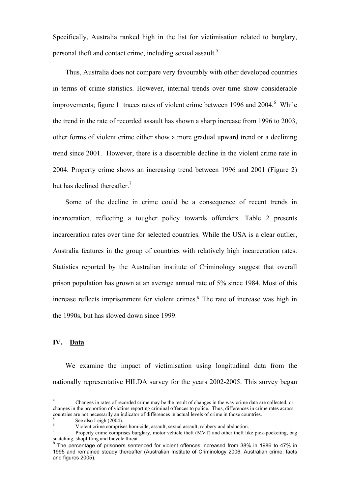Specifically, Australia ranked high in the list for victimisation related to burglary, personal theft and contact crime, including sexual assault.<sup>5</sup>

Thus, Australia does not compare very favourably with other developed countries in terms of crime statistics. However, internal trends over time show considerable improvements; figure 1 traces rates of violent crime between 1996 and  $2004<sup>6</sup>$  While the trend in the rate of recorded assault has shown a sharp increase from 1996 to 2003, other forms of violent crime either show a more gradual upward trend or a declining trend since 2001. However, there is a discernible decline in the violent crime rate in 2004. Property crime shows an increasing trend between 1996 and 2001 (Figure 2) but has declined thereafter. $<sup>7</sup>$ </sup>

Some of the decline in crime could be a consequence of recent trends in incarceration, reflecting a tougher policy towards offenders. Table 2 presents incarceration rates over time for selected countries. While the USA is a clear outlier, Australia features in the group of countries with relatively high incarceration rates. Statistics reported by the Australian institute of Criminology suggest that overall prison population has grown at an average annual rate of 5% since 1984. Most of this increase reflects imprisonment for violent crimes.<sup>8</sup> The rate of increase was high in the 1990s, but has slowed down since 1999.

### **IV. Data**

We examine the impact of victimisation using longitudinal data from the nationally representative HILDA survey for the years 2002-2005. This survey began

 $\overline{4}$ <sup>4</sup> Changes in rates of recorded crime may be the result of changes in the way crime data are collected, or changes in the proportion of victims reporting criminal offences to police. Thus, differences in crime rates across countries are not necessarily an indicator of differences in actual levels of crime in those countries.

<sup>5</sup> See also Leigh (2004).

<sup>6</sup> Violent crime comprises homicide, assault, sexual assault, robbery and abduction.

<sup>7</sup> Property crime comprises burglary, motor vehicle theft (MVT) and other theft like pick-pocketing, bag snatching, shoplifting and bicycle threat.<br><sup>8</sup> The persontage of prisoners sonto

The percentage of prisoners sentenced for violent offences increased from 38% in 1986 to 47% in 1995 and remained steady thereafter (Australian Institute of Criminology 2006. Australian crime: facts and figures 2005).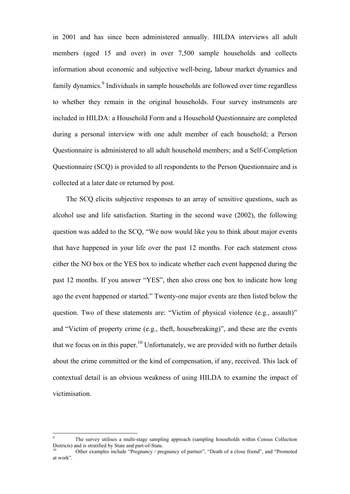in 2001 and has since been administered annually. HILDA interviews all adult members (aged 15 and over) in over 7,500 sample households and collects information about economic and subjective well-being, labour market dynamics and family dynamics.<sup>9</sup> Individuals in sample households are followed over time regardless to whether they remain in the original households. Four survey instruments are included in HILDA: a Household Form and a Household Questionnaire are completed during a personal interview with one adult member of each household; a Person Questionnaire is administered to all adult household members; and a Self-Completion Questionnaire (SCQ) is provided to all respondents to the Person Questionnaire and is collected at a later date or returned by post.

The SCQ elicits subjective responses to an array of sensitive questions, such as alcohol use and life satisfaction. Starting in the second wave (2002), the following question was added to the SCQ, "We now would like you to think about major events that have happened in your life over the past 12 months. For each statement cross either the NO box or the YES box to indicate whether each event happened during the past 12 months. If you answer "YES", then also cross one box to indicate how long ago the event happened or started." Twenty-one major events are then listed below the question. Two of these statements are: "Victim of physical violence (e.g., assault)" and "Victim of property crime (e.g., theft, housebreaking)", and these are the events that we focus on in this paper.<sup>10</sup> Unfortunately, we are provided with no further details about the crime committed or the kind of compensation, if any, received. This lack of contextual detail is an obvious weakness of using HILDA to examine the impact of victimisation.

<sup>9</sup> The survey utilises a multi-stage sampling approach (sampling households within Census Collection Districts) and is stratified by State and part-of-State.

<sup>10</sup> Other examples include "Pregnancy / pregnancy of partner", "Death of a close friend", and "Promoted at work".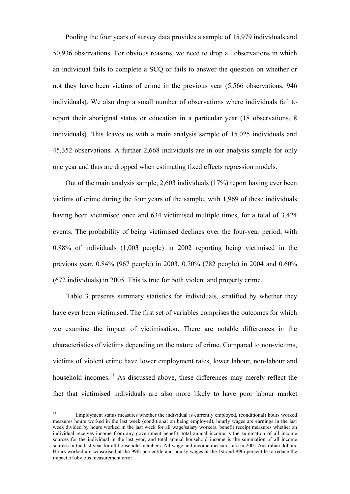Pooling the four years of survey data provides a sample of 15,979 individuals and 50,936 observations. For obvious reasons, we need to drop all observations in which an individual fails to complete a SCQ or fails to answer the question on whether or not they have been victims of crime in the previous year (5,566 observations, 946 individuals). We also drop a small number of observations where individuals fail to report their aboriginal status or education in a particular year (18 observations, 8 individuals). This leaves us with a main analysis sample of 15,025 individuals and 45,352 observations. A further 2,668 individuals are in our analysis sample for only one year and thus are dropped when estimating fixed effects regression models.

Out of the main analysis sample, 2,603 individuals (17%) report having ever been victims of crime during the four years of the sample, with 1,969 of these individuals having been victimised once and 634 victimised multiple times, for a total of 3,424 events. The probability of being victimised declines over the four-year period, with 0.88% of individuals (1,003 people) in 2002 reporting being victimised in the previous year, 0.84% (967 people) in 2003, 0.70% (782 people) in 2004 and 0.60% (672 individuals) in 2005. This is true for both violent and property crime.

Table 3 presents summary statistics for individuals, stratified by whether they have ever been victimised. The first set of variables comprises the outcomes for which we examine the impact of victimisation. There are notable differences in the characteristics of victims depending on the nature of crime. Compared to non-victims, victims of violent crime have lower employment rates, lower labour, non-labour and household incomes.<sup>11</sup> As discussed above, these differences may merely reflect the fact that victimised individuals are also more likely to have poor labour market

 $11\,$ <sup>11</sup> Employment status measures whether the individual is currently employed, (conditional) hours worked measures hours worked in the last week (conditional on being employed), hourly wages are earnings in the last week divided by hours worked in the last week for all wage/salary workers, benefit receipt measures whether an individual receives income from any government benefit, total annual income is the summation of all income sources for the individual in the last year, and total annual household income is the summation of all income sources in the last year for all household members. All wage and income measures are in 2001 Australian dollars. Hours worked are winsorised at the 99th percentile and hourly wages at the 1st and 99th percentile to reduce the impact of obvious measurement error.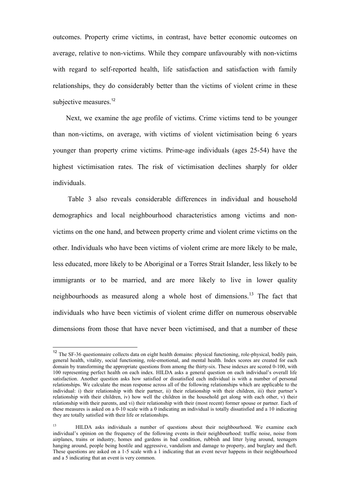outcomes. Property crime victims, in contrast, have better economic outcomes on average, relative to non-victims. While they compare unfavourably with non-victims with regard to self-reported health, life satisfaction and satisfaction with family relationships, they do considerably better than the victims of violent crime in these subjective measures.<sup>12</sup>

Next, we examine the age profile of victims. Crime victims tend to be younger than non-victims, on average, with victims of violent victimisation being 6 years younger than property crime victims. Prime-age individuals (ages 25-54) have the highest victimisation rates. The risk of victimisation declines sharply for older individuals.

Table 3 also reveals considerable differences in individual and household demographics and local neighbourhood characteristics among victims and nonvictims on the one hand, and between property crime and violent crime victims on the other. Individuals who have been victims of violent crime are more likely to be male, less educated, more likely to be Aboriginal or a Torres Strait Islander, less likely to be immigrants or to be married, and are more likely to live in lower quality neighbourhoods as measured along a whole host of dimensions.<sup>13</sup> The fact that individuals who have been victimis of violent crime differ on numerous observable dimensions from those that have never been victimised, and that a number of these

<sup>&</sup>lt;sup>12</sup> The SF-36 questionnaire collects data on eight health domains: physical functioning, role-physical, bodily pain, general health, vitality, social functioning, role-emotional, and mental health. Index scores are created for each domain by transforming the appropriate questions from among the thirty-six. These indexes are scored 0-100, with 100 representing perfect health on each index. HILDA asks a general question on each individual's overall life satisfaction. Another question asks how satisfied or dissatisfied each individual is with a number of personal relationships. We calculate the mean response across all of the following relationships which are applicable to the individual: i) their relationship with their partner, ii) their relationship with their children, iii) their partner's relationship with their children, iv) how well the children in the household get along with each other, v) their relationship with their parents, and vi) their relationship with their (most recent) former spouse or partner. Each of these measures is asked on a 0-10 scale with a 0 indicating an individual is totally dissatisfied and a 10 indicating they are totally satisfied with their life or relationships.

<sup>&</sup>lt;sup>13</sup> HILDA asks individuals a number of questions about their neighbourhood. We examine each individual's opinion on the frequency of the following events in their neighbourhood: traffic noise, noise from airplanes, trains or industry, homes and gardens in bad condition, rubbish and litter lying around, teenagers hanging around, people being hostile and aggressive, vandalism and damage to property, and burglary and theft. These questions are asked on a 1-5 scale with a 1 indicating that an event never happens in their neighbourhood and a 5 indicating that an event is very common.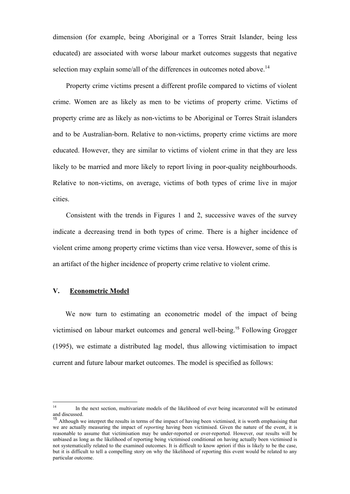dimension (for example, being Aboriginal or a Torres Strait Islander, being less educated) are associated with worse labour market outcomes suggests that negative selection may explain some/all of the differences in outcomes noted above.<sup>14</sup>

Property crime victims present a different profile compared to victims of violent crime. Women are as likely as men to be victims of property crime. Victims of property crime are as likely as non-victims to be Aboriginal or Torres Strait islanders and to be Australian-born. Relative to non-victims, property crime victims are more educated. However, they are similar to victims of violent crime in that they are less likely to be married and more likely to report living in poor-quality neighbourhoods. Relative to non-victims, on average, victims of both types of crime live in major cities.

Consistent with the trends in Figures 1 and 2, successive waves of the survey indicate a decreasing trend in both types of crime. There is a higher incidence of violent crime among property crime victims than vice versa. However, some of this is an artifact of the higher incidence of property crime relative to violent crime.

## **V. Econometric Model**

We now turn to estimating an econometric model of the impact of being victimised on labour market outcomes and general well-being.<sup>15</sup> Following Grogger (1995), we estimate a distributed lag model, thus allowing victimisation to impact current and future labour market outcomes. The model is specified as follows:

 $14$ <sup>14</sup> In the next section, multivariate models of the likelihood of ever being incarcerated will be estimated and discussed.

<sup>&</sup>lt;sup>15</sup> Although we interpret the results in terms of the impact of having been victimised, it is worth emphasising that we are actually measuring the impact of *reporting* having been victimised. Given the nature of the event, it is reasonable to assume that victimisation may be under-reported or over-reported. However, our results will be unbiased as long as the likelihood of reporting being victimised conditional on having actually been victimised is not systematically related to the examined outcomes. It is difficult to know apriori if this is likely to be the case, but it is difficult to tell a compelling story on why the likelihood of reporting this event would be related to any particular outcome.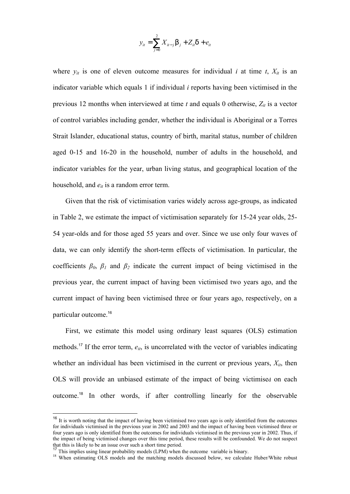$$
y_{it} = \sum_{j=0}^{2} X_{it-j} \mathsf{b}_{j} + Z_{it} \mathsf{d} + e_{it}
$$

where  $y_{it}$  is one of eleven outcome measures for individual *i* at time *t*,  $X_{it}$  is an indicator variable which equals 1 if individual *i* reports having been victimised in the previous 12 months when interviewed at time  $t$  and equals 0 otherwise,  $Z_{it}$  is a vector of control variables including gender, whether the individual is Aboriginal or a Torres Strait Islander, educational status, country of birth, marital status, number of children aged 0-15 and 16-20 in the household, number of adults in the household, and indicator variables for the year, urban living status, and geographical location of the household, and  $e_{it}$  is a random error term.

Given that the risk of victimisation varies widely across age-groups, as indicated in Table 2, we estimate the impact of victimisation separately for 15-24 year olds, 25- 54 year-olds and for those aged 55 years and over. Since we use only four waves of data, we can only identify the short-term effects of victimisation. In particular, the coefficients  $\beta_0$ ,  $\beta_1$  and  $\beta_2$  indicate the current impact of being victimised in the previous year, the current impact of having been victimised two years ago, and the current impact of having been victimised three or four years ago, respectively, on a particular outcome.<sup>16</sup>

First, we estimate this model using ordinary least squares (OLS) estimation methods.<sup>17</sup> If the error term,  $e_{it}$ , is uncorrelated with the vector of variables indicating whether an individual has been victimised in the current or previous years,  $X_{it}$ , then OLS will provide an unbiased estimate of the impact of being victimised on each outcome.<sup>18</sup> In other words, if after controlling linearly for the observable

 $16$  It is worth noting that the impact of having been victimised two years ago is only identified from the outcomes for individuals victimised in the previous year in 2002 and 2003 and the impact of having been victimised three or four years ago is only identified from the outcomes for individuals victimised in the previous year in 2002. Thus, if the impact of being victimised changes over this time period, these results will be confounded. We do not suspect that this is likely to be an issue over such a short time period.

<sup>&</sup>lt;sup>17</sup> This implies using linear probability models  $(LPM)$  when the outcome variable is binary.

<sup>&</sup>lt;sup>18</sup> When estimating OLS models and the matching models discussed below, we calculate Huber/White robust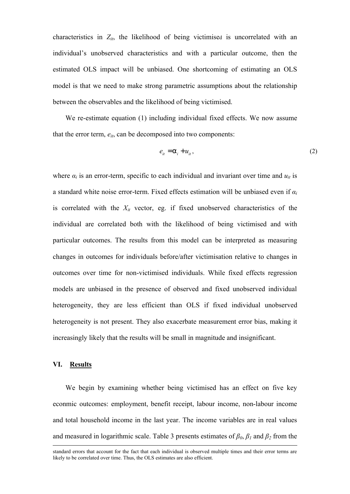characteristics in  $Z_{it}$ , the likelihood of being victimised is uncorrelated with an individual's unobserved characteristics and with a particular outcome, then the estimated OLS impact will be unbiased. One shortcoming of estimating an OLS model is that we need to make strong parametric assumptions about the relationship between the observables and the likelihood of being victimised.

We re-estimate equation (1) including individual fixed effects. We now assume that the error term,  $e_{it}$ , can be decomposed into two components:

$$
e_{it} = a_i + u_{it},\tag{2}
$$

where  $\alpha_i$  is an error-term, specific to each individual and invariant over time and  $u_{it}$  is a standard white noise error-term. Fixed effects estimation will be unbiased even if *α<sup>i</sup>* is correlated with the  $X_{it}$  vector, eg. if fixed unobserved characteristics of the individual are correlated both with the likelihood of being victimised and with particular outcomes. The results from this model can be interpreted as measuring changes in outcomes for individuals before/after victimisation relative to changes in outcomes over time for non-victimised individuals. While fixed effects regression models are unbiased in the presence of observed and fixed unobserved individual heterogeneity, they are less efficient than OLS if fixed individual unobserved heterogeneity is not present. They also exacerbate measurement error bias, making it increasingly likely that the results will be small in magnitude and insignificant.

## **VI. Results**

<u>.</u>

We begin by examining whether being victimised has an effect on five key econmic outcomes: employment, benefit receipt, labour income, non-labour income and total household income in the last year. The income variables are in real values and measured in logarithmic scale. Table 3 presents estimates of  $\beta_0$ ,  $\beta_1$  and  $\beta_2$  from the

standard errors that account for the fact that each individual is observed multiple times and their error terms are likely to be correlated over time. Thus, the OLS estimates are also efficient.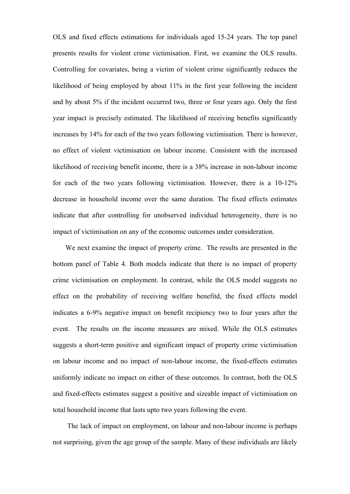OLS and fixed effects estimations for individuals aged 15-24 years. The top panel presents results for violent crime victimisation. First, we examine the OLS results. Controlling for covariates, being a victim of violent crime significantly reduces the likelihood of being employed by about 11% in the first year following the incident and by about 5% if the incident occurred two, three or four years ago. Only the first year impact is precisely estimated. The likelihood of receiving benefits significantly increases by 14% for each of the two years following victimisation. There is however, no effect of violent victimisation on labour income. Consistent with the increased likelihood of receiving benefit income, there is a 38% increase in non-labour income for each of the two years following victimisation. However, there is a 10-12% decrease in household income over the same duration. The fixed effects estimates indicate that after controlling for unobserved individual heterogeneity, there is no impact of victimisation on any of the economic outcomes under consideration.

We next examine the impact of property crime. The results are presented in the bottom panel of Table 4. Both models indicate that there is no impact of property crime victimisation on employment. In contrast, while the OLS model suggests no effect on the probability of receiving welfare benefitd, the fixed effects model indicates a 6-9% negative impact on benefit recipiency two to four years after the event. The results on the income measures are mixed. While the OLS estimates suggests a short-term positive and significant impact of property crime victimisation on labour income and no impact of non-labour income, the fixed-effects estimates uniformly indicate no impact on either of these outcomes. In contrast, both the OLS and fixed-effects estimates suggest a positive and sizeable impact of victimisation on total household income that lasts upto two years following the event.

The lack of impact on employment, on labour and non-labour income is perhaps not surprising, given the age group of the sample. Many of these individuals are likely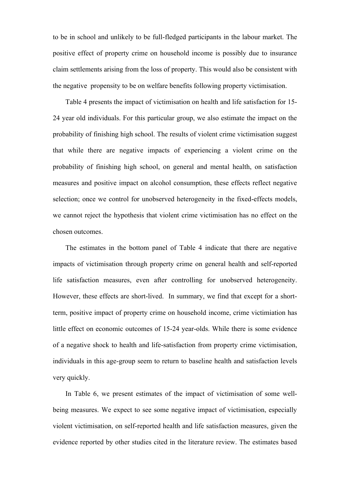to be in school and unlikely to be full-fledged participants in the labour market. The positive effect of property crime on household income is possibly due to insurance claim settlements arising from the loss of property. This would also be consistent with the negative propensity to be on welfare benefits following property victimisation.

Table 4 presents the impact of victimisation on health and life satisfaction for 15- 24 year old individuals. For this particular group, we also estimate the impact on the probability of finishing high school. The results of violent crime victimisation suggest that while there are negative impacts of experiencing a violent crime on the probability of finishing high school, on general and mental health, on satisfaction measures and positive impact on alcohol consumption, these effects reflect negative selection; once we control for unobserved heterogeneity in the fixed-effects models, we cannot reject the hypothesis that violent crime victimisation has no effect on the chosen outcomes.

The estimates in the bottom panel of Table 4 indicate that there are negative impacts of victimisation through property crime on general health and self-reported life satisfaction measures, even after controlling for unobserved heterogeneity. However, these effects are short-lived. In summary, we find that except for a shortterm, positive impact of property crime on household income, crime victimiation has little effect on economic outcomes of 15-24 year-olds. While there is some evidence of a negative shock to health and life-satisfaction from property crime victimisation, individuals in this age-group seem to return to baseline health and satisfaction levels very quickly.

In Table 6, we present estimates of the impact of victimisation of some wellbeing measures. We expect to see some negative impact of victimisation, especially violent victimisation, on self-reported health and life satisfaction measures, given the evidence reported by other studies cited in the literature review. The estimates based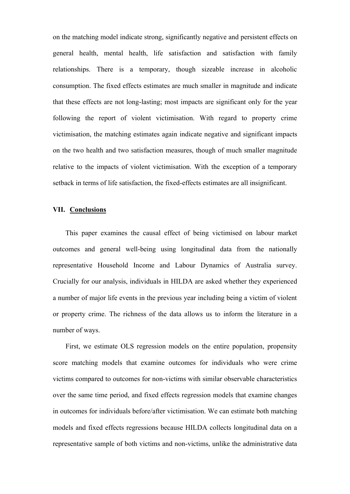on the matching model indicate strong, significantly negative and persistent effects on general health, mental health, life satisfaction and satisfaction with family relationships. There is a temporary, though sizeable increase in alcoholic consumption. The fixed effects estimates are much smaller in magnitude and indicate that these effects are not long-lasting; most impacts are significant only for the year following the report of violent victimisation. With regard to property crime victimisation, the matching estimates again indicate negative and significant impacts on the two health and two satisfaction measures, though of much smaller magnitude relative to the impacts of violent victimisation. With the exception of a temporary setback in terms of life satisfaction, the fixed-effects estimates are all insignificant.

## **VII. Conclusions**

This paper examines the causal effect of being victimised on labour market outcomes and general well-being using longitudinal data from the nationally representative Household Income and Labour Dynamics of Australia survey. Crucially for our analysis, individuals in HILDA are asked whether they experienced a number of major life events in the previous year including being a victim of violent or property crime. The richness of the data allows us to inform the literature in a number of ways.

First, we estimate OLS regression models on the entire population, propensity score matching models that examine outcomes for individuals who were crime victims compared to outcomes for non-victims with similar observable characteristics over the same time period, and fixed effects regression models that examine changes in outcomes for individuals before/after victimisation. We can estimate both matching models and fixed effects regressions because HILDA collects longitudinal data on a representative sample of both victims and non-victims, unlike the administrative data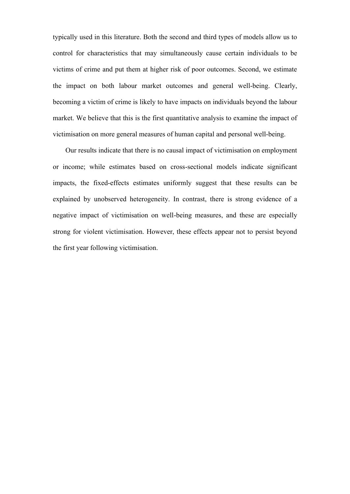typically used in this literature. Both the second and third types of models allow us to control for characteristics that may simultaneously cause certain individuals to be victims of crime and put them at higher risk of poor outcomes. Second, we estimate the impact on both labour market outcomes and general well-being. Clearly, becoming a victim of crime is likely to have impacts on individuals beyond the labour market. We believe that this is the first quantitative analysis to examine the impact of victimisation on more general measures of human capital and personal well-being.

Our results indicate that there is no causal impact of victimisation on employment or income; while estimates based on cross-sectional models indicate significant impacts, the fixed-effects estimates uniformly suggest that these results can be explained by unobserved heterogeneity. In contrast, there is strong evidence of a negative impact of victimisation on well-being measures, and these are especially strong for violent victimisation. However, these effects appear not to persist beyond the first year following victimisation.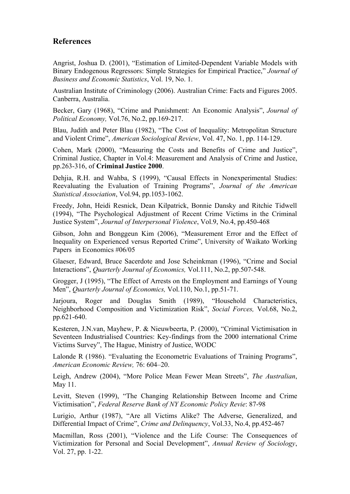## **References**

Angrist, Joshua D. (2001), "Estimation of Limited-Dependent Variable Models with Binary Endogenous Regressors: Simple Strategies for Empirical Practice," *Journal of Business and Economic Statistics*, Vol. 19, No. 1.

Australian Institute of Criminology (2006). Australian Crime: Facts and Figures 2005. Canberra, Australia.

Becker, Gary (1968), "Crime and Punishment: An Economic Analysis", *Journal of Political Economy,* Vol.76, No.2, pp.169-217.

Blau, Judith and Peter Blau (1982), "The Cost of Inequality: Metropolitan Structure and Violent Crime", *American Sociological Review*, Vol. 47, No. 1, pp. 114-129.

Cohen, Mark (2000), "Measuring the Costs and Benefits of Crime and Justice", Criminal Justice, Chapter in Vol.4: Measurement and Analysis of Crime and Justice, pp.263-316, of **Criminal Justice 2000**.

Dehjia, R.H. and Wahba, S (1999), "Causal Effects in Nonexperimental Studies: Reevaluating the Evaluation of Training Programs", *Journal of the American Statistical Association*, Vol.94, pp.1053-1062.

Freedy, John, Heidi Resnick, Dean Kilpatrick, Bonnie Dansky and Ritchie Tidwell (1994), "The Psychological Adjustment of Recent Crime Victims in the Criminal Justice System", *Journal of Interpersonal Violence*, Vol.9, No.4, pp.450-468

Gibson, John and Bonggeun Kim (2006), "Measurement Error and the Effect of Inequality on Experienced versus Reported Crime", University of Waikato Working Papers in Economics #06/05

Glaeser, Edward, Bruce Sacerdote and Jose Scheinkman (1996), "Crime and Social Interactions", *Quarterly Journal of Economics,* Vol.111, No.2, pp.507-548.

Grogger, J (1995), "The Effect of Arrests on the Employment and Earnings of Young Men", *Quarterly Journal of Economics,* Vol.110, No.1, pp.51-71.

Jarjoura, Roger and Douglas Smith (1989), "Household Characteristics, Neighborhood Composition and Victimization Risk", *Social Forces,* Vol.68, No.2, pp.621-640.

Kesteren, J.N.van, Mayhew, P. & Nieuwbeerta, P. (2000), "Criminal Victimisation in Seventeen Industrialised Countries: Key-findings from the 2000 international Crime Victims Survey", The Hague, Ministry of Justice, WODC

Lalonde R (1986). "Evaluating the Econometric Evaluations of Training Programs", *American Economic Review,* 76: 604–20.

Leigh, Andrew (2004), "More Police Mean Fewer Mean Streets", *The Australian*, May 11.

Levitt, Steven (1999), "The Changing Relationship Between Income and Crime Victimisation", *Federal Reserve Bank of NY Economic Policy Revie*: 87-98

Lurigio, Arthur (1987), "Are all Victims Alike? The Adverse, Generalized, and Differential Impact of Crime", *Crime and Delinquency*, Vol.33, No.4, pp.452-467

Macmillan, Ross (2001), "Violence and the Life Course: The Consequences of Victimization for Personal and Social Development", *Annual Review of Sociology*, Vol. 27, pp. 1-22.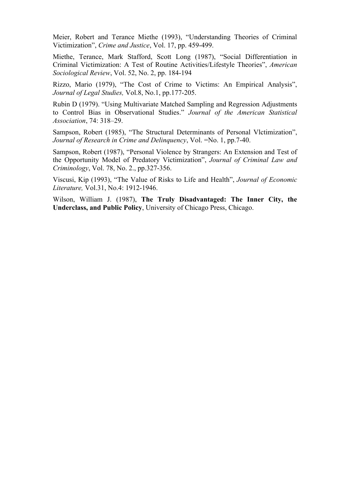Meier, Robert and Terance Miethe (1993), "Understanding Theories of Criminal Victimization", *Crime and Justice*, Vol. 17, pp. 459-499.

Miethe, Terance, Mark Stafford, Scott Long (1987), "Social Differentiation in Criminal Victimization: A Test of Routine Activities/Lifestyle Theories", *American Sociological Review*, Vol. 52, No. 2, pp. 184-194

Rizzo, Mario (1979), "The Cost of Crime to Victims: An Empirical Analysis", *Journal of Legal Studies,* Vol.8, No.1, pp.177-205.

Rubin D (1979). "Using Multivariate Matched Sampling and Regression Adjustments to Control Bias in Observational Studies." *Journal of the American Statistical Association*, 74: 318–29.

Sampson, Robert (1985), "The Structural Determinants of Personal Vlctimization", *Journal of Research in Crime and Delinquency*, Vol. =No. 1, pp.7-40.

Sampson, Robert (1987), "Personal Violence by Strangers: An Extension and Test of the Opportunity Model of Predatory Victimization", *Journal of Criminal Law and Criminology*, Vol. 78, No. 2., pp.327-356.

Viscusi, Kip (1993), "The Value of Risks to Life and Health", *Journal of Economic Literature,* Vol.31, No.4: 1912-1946.

Wilson, William J. (1987), **The Truly Disadvantaged: The Inner City, the Underclass, and Public Policy**, University of Chicago Press, Chicago.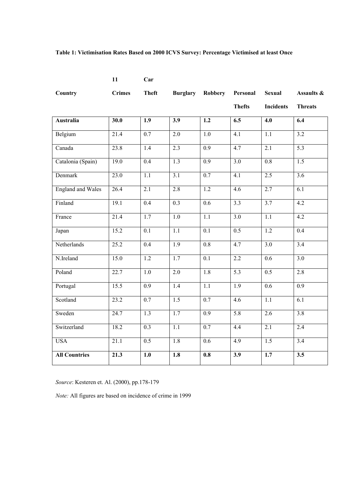## **Table 1: Victimisation Rates Based on 2000 ICVS Survey: Percentage Victimised at least Once**

| Car |
|-----|
|     |

**11** 

| <b>Country</b>           | <b>Crimes</b> | <b>Theft</b>     | <b>Burglary</b>  | Robbery          | Personal         | <b>Sexual</b>    | Assaults &       |
|--------------------------|---------------|------------------|------------------|------------------|------------------|------------------|------------------|
|                          |               |                  |                  |                  | <b>Thefts</b>    | <b>Incidents</b> | <b>Threats</b>   |
| <b>Australia</b>         | 30.0          | $\overline{1.9}$ | $\overline{3.9}$ | $\overline{1.2}$ | 6.5              | $\overline{4.0}$ | 6.4              |
| Belgium                  | 21.4          | $\overline{0.7}$ | $\overline{2.0}$ | $\overline{1.0}$ | $\overline{4.1}$ | $\overline{1.1}$ | $\overline{3.2}$ |
| Canada                   | 23.8          | 1.4              | $\overline{2.3}$ | $\overline{0.9}$ | 4.7              | $\overline{2.1}$ | $\overline{5.3}$ |
| Catalonia (Spain)        | 19.0          | 0.4              | 1.3              | 0.9              | $\overline{3.0}$ | 0.8              | 1.5              |
| Denmark                  | 23.0          | $\overline{1.1}$ | $\overline{3.1}$ | 0.7              | $\overline{4.1}$ | 2.5              | $\overline{3.6}$ |
| <b>England and Wales</b> | 26.4          | 2.1              | 2.8              | 1.2              | 4.6              | 2.7              | 6.1              |
| Finland                  | 19.1          | $\overline{0.4}$ | 0.3              | $\overline{0.6}$ | $\overline{3.3}$ | 3.7              | $\overline{4.2}$ |
| France                   | 21.4          | 1.7              | 1.0              | $\overline{1.1}$ | $\overline{3.0}$ | 1.1              | 4.2              |
| Japan                    | 15.2          | 0.1              | 1.1              | 0.1              | 0.5              | $\overline{1.2}$ | $\overline{0.4}$ |
| Netherlands              | 25.2          | 0.4              | 1.9              | $0.8\,$          | 4.7              | $\overline{3.0}$ | 3.4              |
| N.Ireland                | 15.0          | 1.2              | 1.7              | 0.1              | $\overline{2.2}$ | 0.6              | $\overline{3.0}$ |
| Poland                   | 22.7          | 1.0              | 2.0              | 1.8              | 5.3              | 0.5              | 2.8              |
| Portugal                 | 15.5          | 0.9              | 1.4              | $\overline{1.1}$ | 1.9              | $\overline{0.6}$ | 0.9              |
| Scotland                 | 23.2          | 0.7              | $\overline{1.5}$ | 0.7              | 4.6              | 1.1              | 6.1              |
| Sweden                   | 24.7          | 1.3              | 1.7              | 0.9              | 5.8              | 2.6              | 3.8              |
| Switzerland              | 18.2          | $\overline{0.3}$ | $\overline{1.1}$ | $\overline{0.7}$ | 4.4              | 2.1              | $\overline{2.4}$ |
| <b>USA</b>               | 21.1          | $\overline{0.5}$ | $\overline{1.8}$ | 0.6              | 4.9              | $\overline{1.5}$ | $\overline{3.4}$ |
| <b>All Countries</b>     | 21.3          | 1.0              | 1.8              | 0.8              | 3.9              | 1.7              | 3.5              |

*Source*: Kesteren et. Al. (2000), pp.178-179

*Note:* All figures are based on incidence of crime in 1999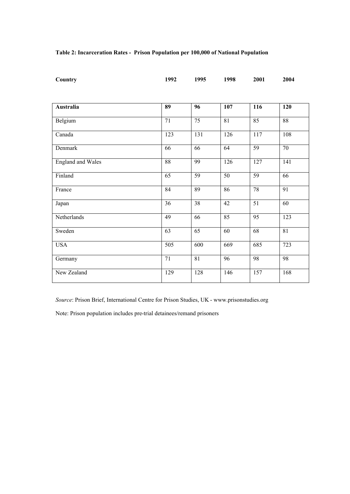|  |  | Table 2: Incarceration Rates - Prison Population per 100,000 of National Population |
|--|--|-------------------------------------------------------------------------------------|
|--|--|-------------------------------------------------------------------------------------|

| Country                  | 1992             | 1995            | 1998             | 2001            | 2004             |
|--------------------------|------------------|-----------------|------------------|-----------------|------------------|
|                          |                  |                 |                  |                 |                  |
| <b>Australia</b>         | 89               | 96              | 107              | 116             | <b>120</b>       |
| Belgium                  | 71               | 75              | 81               | 85              | 88               |
| Canada                   | $\overline{123}$ | 131             | $\overline{126}$ | 117             | 108              |
| Denmark                  | 66               | 66              | 64               | $\overline{59}$ | $\overline{70}$  |
| <b>England and Wales</b> | $\overline{88}$  | 99              | 126              | 127             | 141              |
| Finland                  | $\overline{65}$  | $\overline{59}$ | $\overline{50}$  | 59              | 66               |
| France                   | 84               | 89              | 86               | 78              | 91               |
| Japan                    | 36               | 38              | 42               | 51              | 60               |
| Netherlands              | 49               | 66              | 85               | 95              | $\overline{123}$ |
| Sweden                   | 63               | 65              | 60               | 68              | 81               |
| <b>USA</b>               | $\overline{505}$ | 600             | 669              | 685             | 723              |
| Germany                  | 71               | 81              | 96               | 98              | 98               |
| New Zealand              | 129              | 128             | 146              | 157             | 168              |

*Source*: Prison Brief, International Centre for Prison Studies, UK - www.prisonstudies.org

Note: Prison population includes pre-trial detainees/remand prisoners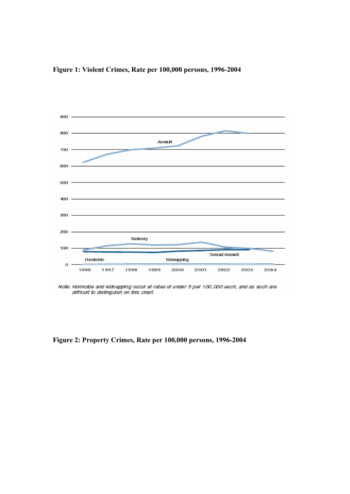



Note: Homicide and kidnapping occur at rates of under 5 per 100,000 each, and as such are difficult to distinguish on this chart.

**Figure 2: Property Crimes, Rate per 100,000 persons, 1996-2004**